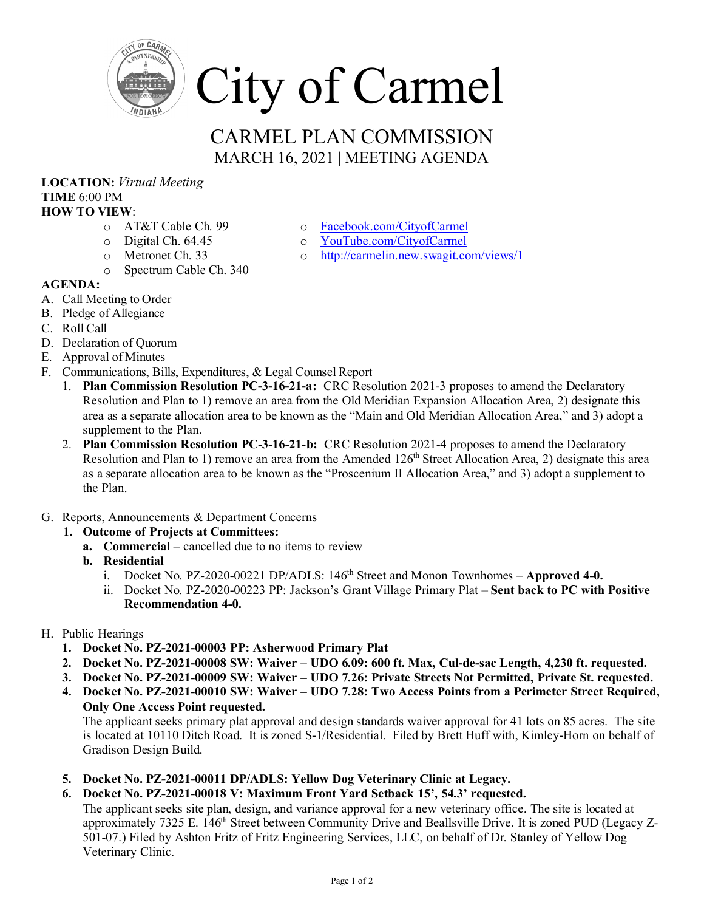

## CARMEL PLAN COMMISSION MARCH 16, 2021 | MEETING AGENDA

## **LOCATION:** *Virtual Meeting* **TIME** 6:00 PM **HOW TO VIEW**:

- o AT&T Cable Ch. 99
- o Digital Ch. 64.45
- o Metronet Ch. 33
- o Spectrum Cable Ch. 340
- **AGENDA:**
- A. Call Meeting to Order
- B. Pledge of Allegiance
- C. Roll Call
- D. Declaration of Quorum
- E. Approval of Minutes
- F. Communications, Bills, Expenditures, & Legal Counsel Report
	- 1. **Plan Commission Resolution PC-3-16-21-a:** CRC Resolution 2021-3 proposes to amend the Declaratory Resolution and Plan to 1) remove an area from the Old Meridian Expansion Allocation Area, 2) designate this area as a separate allocation area to be known as the "Main and Old Meridian Allocation Area," and 3) adopt a supplement to the Plan.
	- 2. **Plan Commission Resolution PC-3-16-21-b:** CRC Resolution 2021-4 proposes to amend the Declaratory Resolution and Plan to 1) remove an area from the Amended 126<sup>th</sup> Street Allocation Area, 2) designate this area as a separate allocation area to be known as the "Proscenium II Allocation Area," and 3) adopt a supplement to the Plan.
- G. Reports, Announcements & Department Concerns
	- **1. Outcome of Projects at Committees:**
		- **a. Commercial**  cancelled due to no items to review
		- **b. Residential** 
			- i. Docket No. PZ-2020-00221 DP/ADLS: 146<sup>th</sup> Street and Monon Townhomes **Approved 4-0.**
			- ii. Docket No. PZ-2020-00223 PP: Jackson's Grant Village Primary Plat **Sent back to PC with Positive Recommendation 4-0.**
- H. Public Hearings
	- **1. Docket No. PZ-2021-00003 PP: Asherwood Primary Plat**
	- **2. Docket No. PZ-2021-00008 SW: Waiver – UDO 6.09: 600 ft. Max, Cul-de-sac Length, 4,230 ft. requested.**
	- **3. Docket No. PZ-2021-00009 SW: Waiver – UDO 7.26: Private Streets Not Permitted, Private St. requested.**
	- **4. Docket No. PZ-2021-00010 SW: Waiver – UDO 7.28: Two Access Points from a Perimeter Street Required, Only One Access Point requested.**

The applicant seeks primary plat approval and design standards waiver approval for 41 lots on 85 acres. The site is located at 10110 Ditch Road. It is zoned S-1/Residential. Filed by Brett Huff with, Kimley-Horn on behalf of Gradison Design Build.

- **5. Docket No. PZ-2021-00011 DP/ADLS: Yellow Dog Veterinary Clinic at Legacy.**
- **6. Docket No. PZ-2021-00018 V: Maximum Front Yard Setback 15', 54.3' requested.**

The applicant seeks site plan, design, and variance approval for a new veterinary office. The site is located at approximately 7325 E. 146<sup>th</sup> Street between Community Drive and Beallsville Drive. It is zoned PUD (Legacy Z-501-07.) Filed by Ashton Fritz of Fritz Engineering Services, LLC, on behalf of Dr. Stanley of Yellow Dog Veterinary Clinic.

- o [Facebook.com/CityofCarmel](https://www.facebook.com/CityofCarmel/)
- o [YouTube.com/CityofCarmel](https://www.youtube.com/channel/UCehYsbi2i8jGvjkmE9cSPmg)
- o <http://carmelin.new.swagit.com/views/1>